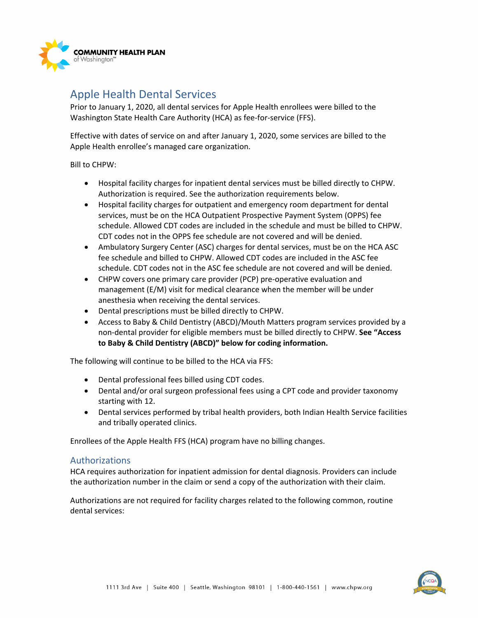

## Apple Health Dental Services

Prior to January 1, 2020, all dental services for Apple Health enrollees were billed to the Washington State Health Care Authority (HCA) as fee-for-service (FFS).

Effective with dates of service on and after January 1, 2020, some services are billed to the Apple Health enrollee's managed care organization.

Bill to CHPW:

- Hospital facility charges for inpatient dental services must be billed directly to CHPW. Authorization is required. See the authorization requirements below.
- Hospital facility charges for outpatient and emergency room department for dental services, must be on the HCA Outpatient Prospective Payment System (OPPS) fee schedule. Allowed CDT codes are included in the schedule and must be billed to CHPW. CDT codes not in the OPPS fee schedule are not covered and will be denied.
- Ambulatory Surgery Center (ASC) charges for dental services, must be on the HCA ASC fee schedule and billed to CHPW. Allowed CDT codes are included in the ASC fee schedule. CDT codes not in the ASC fee schedule are not covered and will be denied.
- CHPW covers one primary care provider (PCP) pre-operative evaluation and management (E/M) visit for medical clearance when the member will be under anesthesia when receiving the dental services.
- Dental prescriptions must be billed directly to CHPW.
- Access to Baby & Child Dentistry (ABCD)/Mouth Matters program services provided by a non-dental provider for eligible members must be billed directly to CHPW. **See "Access to Baby & Child Dentistry (ABCD)" below for coding information.**

The following will continue to be billed to the HCA via FFS:

- Dental professional fees billed using CDT codes.
- Dental and/or oral surgeon professional fees using a CPT code and provider taxonomy starting with 12.
- Dental services performed by tribal health providers, both Indian Health Service facilities and tribally operated clinics.

Enrollees of the Apple Health FFS (HCA) program have no billing changes.

## Authorizations

HCA requires authorization for inpatient admission for dental diagnosis. Providers can include the authorization number in the claim or send a copy of the authorization with their claim.

Authorizations are not required for facility charges related to the following common, routine dental services: